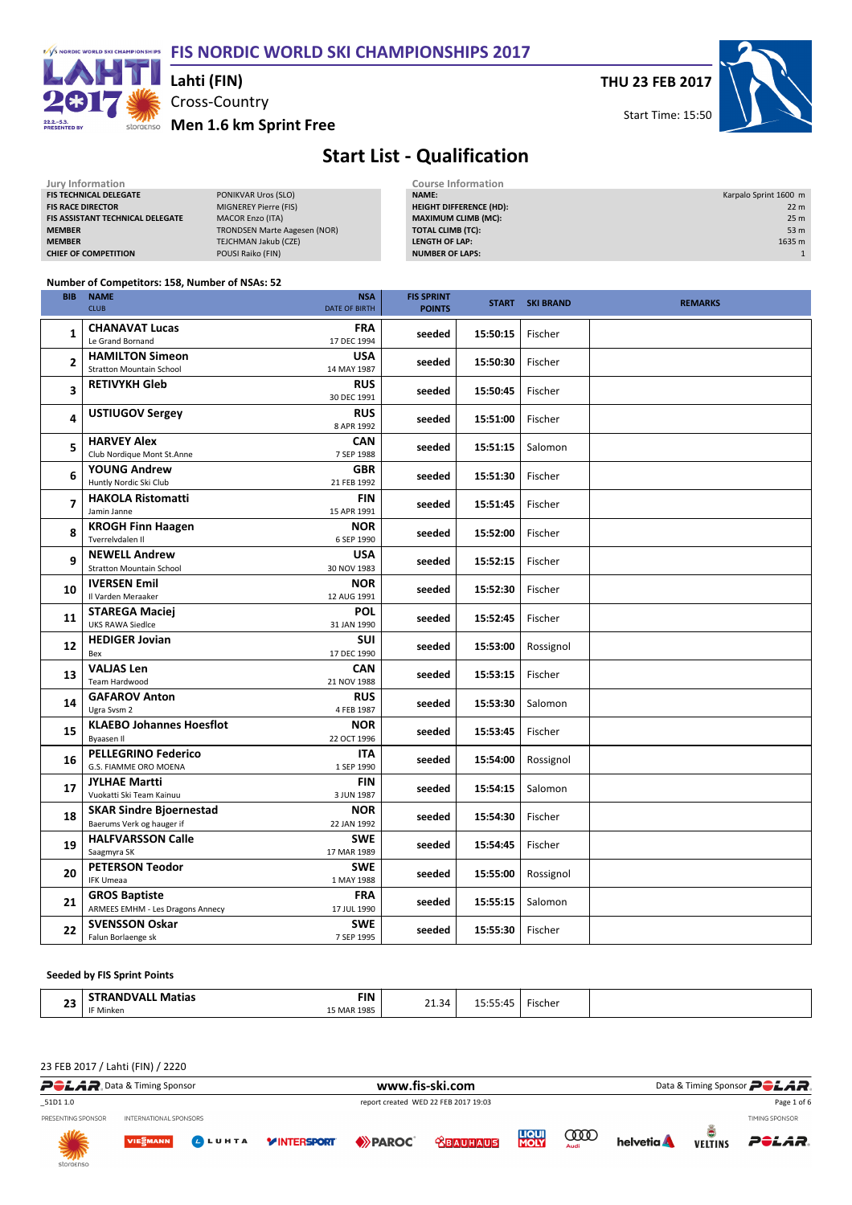FIS NORDIC WORLD SKI CHAMPIONSHIPS 2017



# Cross-Country Lahti (FIN)

THU 23 FEB 2017

Start Time: 15:50



### Start List - Qualification

| Jury Information                        |                              | <b>Course Information</b>      |                       |
|-----------------------------------------|------------------------------|--------------------------------|-----------------------|
| <b>FIS TECHNICAL DELEGATE</b>           | PONIKVAR Uros (SLO)          | <b>NAME:</b>                   | Karpalo Sprint 1600 m |
| <b>FIS RACE DIRECTOR</b>                | MIGNEREY Pierre (FIS)        | <b>HEIGHT DIFFERENCE (HD):</b> | 22 <sub>m</sub>       |
| <b>FIS ASSISTANT TECHNICAL DELEGATE</b> | <b>MACOR Enzo (ITA)</b>      | <b>MAXIMUM CLIMB (MC):</b>     | 25 <sub>m</sub>       |
| <b>MEMBER</b>                           | TRONDSEN Marte Aagesen (NOR) | <b>TOTAL CLIMB (TC):</b>       | 53 <sub>m</sub>       |
| <b>MEMBER</b>                           | TEJCHMAN Jakub (CZE)         | LENGTH OF LAP:                 | 1635 m                |
| <b>CHIEF OF COMPETITION</b>             | POUSI Raiko (FIN)            | <b>NUMBER OF LAPS:</b>         |                       |
|                                         |                              |                                |                       |

#### Number of Competitors: 158, Number of NSAs: 52

| <b>BIB</b>     | <b>NAME</b><br><b>CLUB</b>                                      | <b>NSA</b><br><b>DATE OF BIRTH</b> | <b>FIS SPRINT</b><br><b>POINTS</b> |          | <b>START SKI BRAND</b> | <b>REMARKS</b> |
|----------------|-----------------------------------------------------------------|------------------------------------|------------------------------------|----------|------------------------|----------------|
| 1              | <b>CHANAVAT Lucas</b><br>Le Grand Bornand                       | <b>FRA</b><br>17 DEC 1994          | seeded                             | 15:50:15 | Fischer                |                |
| $\overline{2}$ | <b>HAMILTON Simeon</b><br><b>Stratton Mountain School</b>       | <b>USA</b><br>14 MAY 1987          | seeded                             | 15:50:30 | Fischer                |                |
| 3              | <b>RETIVYKH Gleb</b>                                            | <b>RUS</b><br>30 DEC 1991          | seeded                             | 15:50:45 | Fischer                |                |
| 4              | <b>USTIUGOV Sergey</b>                                          | <b>RUS</b><br>8 APR 1992           | seeded                             | 15:51:00 | Fischer                |                |
| 5              | <b>HARVEY Alex</b><br>Club Nordique Mont St.Anne                | <b>CAN</b><br>7 SEP 1988           | seeded                             | 15:51:15 | Salomon                |                |
| 6              | <b>YOUNG Andrew</b><br>Huntly Nordic Ski Club                   | <b>GBR</b><br>21 FEB 1992          | seeded                             | 15:51:30 | Fischer                |                |
| $\overline{7}$ | <b>HAKOLA Ristomatti</b><br>Jamin Janne                         | <b>FIN</b><br>15 APR 1991          | seeded                             | 15:51:45 | Fischer                |                |
| 8              | <b>KROGH Finn Haagen</b><br>Tverrelydalen II                    | <b>NOR</b><br>6 SEP 1990           | seeded                             | 15:52:00 | Fischer                |                |
| 9              | <b>NEWELL Andrew</b><br><b>Stratton Mountain School</b>         | <b>USA</b><br>30 NOV 1983          | seeded                             | 15:52:15 | Fischer                |                |
| 10             | <b>IVERSEN Emil</b><br>Il Varden Meraaker                       | <b>NOR</b><br>12 AUG 1991          | seeded                             | 15:52:30 | Fischer                |                |
| 11             | <b>STAREGA Maciej</b><br><b>UKS RAWA Siedlce</b>                | <b>POL</b><br>31 JAN 1990          | seeded                             | 15:52:45 | Fischer                |                |
| 12             | <b>HEDIGER Jovian</b><br>Bex                                    | <b>SUI</b><br>17 DEC 1990          | seeded                             | 15:53:00 | Rossignol              |                |
| 13             | <b>VALIAS Len</b><br><b>Team Hardwood</b>                       | <b>CAN</b><br>21 NOV 1988          | seeded                             | 15:53:15 | Fischer                |                |
| 14             | <b>GAFAROV Anton</b><br>Ugra Svsm 2                             | <b>RUS</b><br>4 FEB 1987           | seeded                             | 15:53:30 | Salomon                |                |
| 15             | <b>KLAEBO Johannes Hoesflot</b><br>Byaasen II                   | <b>NOR</b><br>22 OCT 1996          | seeded                             | 15:53:45 | Fischer                |                |
| 16             | <b>PELLEGRINO Federico</b><br>G.S. FIAMME ORO MOENA             | <b>ITA</b><br>1 SEP 1990           | seeded                             | 15:54:00 | Rossignol              |                |
| 17             | <b>JYLHAE Martti</b><br>Vuokatti Ski Team Kainuu                | <b>FIN</b><br>3 JUN 1987           | seeded                             | 15:54:15 | Salomon                |                |
| 18             | <b>SKAR Sindre Bjoernestad</b><br>Baerums Verk og hauger if     | <b>NOR</b><br>22 JAN 1992          | seeded                             | 15:54:30 | Fischer                |                |
| 19             | <b>HALFVARSSON Calle</b><br>Saagmyra SK                         | <b>SWE</b><br>17 MAR 1989          | seeded                             | 15:54:45 | Fischer                |                |
| 20             | <b>PETERSON Teodor</b><br><b>IFK Umeaa</b>                      | <b>SWE</b><br>1 MAY 1988           | seeded                             | 15:55:00 | Rossignol              |                |
| 21             | <b>GROS Baptiste</b><br><b>ARMEES EMHM - Les Dragons Annecy</b> | <b>FRA</b><br>17 JUL 1990          | seeded                             | 15:55:15 | Salomon                |                |
| 22             | <b>SVENSSON Oskar</b><br>Falun Borlaenge sk                     | <b>SWE</b><br>7 SEP 1995           | seeded                             | 15:55:30 | Fischer                |                |

#### Seeded by FIS Sprint Points

| $\sim$            | <b>Matias</b><br>M<br>,,     | FIN<br>.      | ≺4          |                         | ischer |  |
|-------------------|------------------------------|---------------|-------------|-------------------------|--------|--|
| .<br>--<br>$\sim$ | $\sim$ $\sim$<br>Minken<br>. | 198<br>,MAR 1 | <u>__.J</u> | ∸∸<br>. <i>.</i> .<br>. | .      |  |

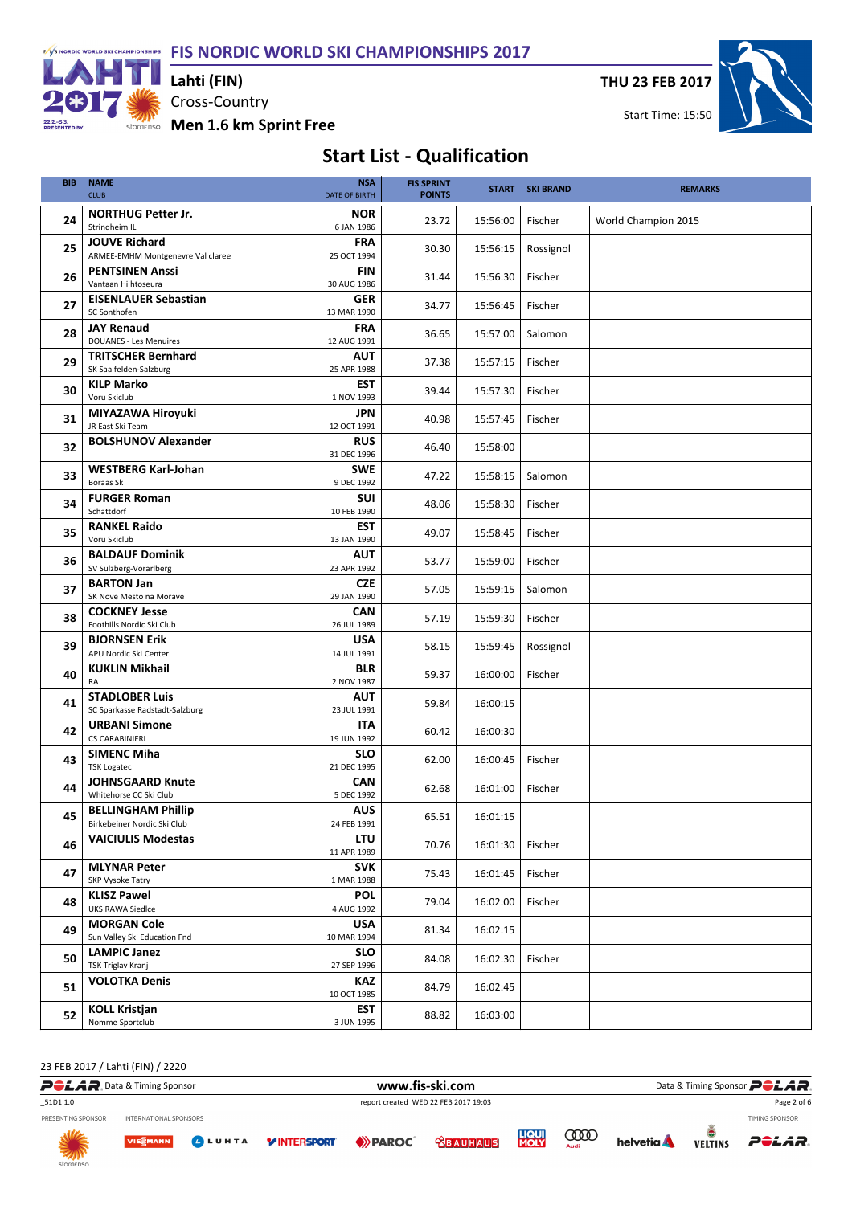F/S NORDIC WORLD SKI CHAMPIONSHIPS PIS NORDIC WORLD SKI CHAMPIONSHIPS 2017



Cross-Country Lahti (FIN)

THU 23 FEB 2017



### Start List - Qualification

| <b>BIB</b> | <b>NAME</b><br><b>CLUB</b>                                | <b>NSA</b><br><b>DATE OF BIRTH</b> | <b>FIS SPRINT</b><br><b>POINTS</b> |          | <b>START SKI BRAND</b> | <b>REMARKS</b>      |
|------------|-----------------------------------------------------------|------------------------------------|------------------------------------|----------|------------------------|---------------------|
| 24         | <b>NORTHUG Petter Jr.</b><br>Strindheim IL                | <b>NOR</b><br>6 JAN 1986           | 23.72                              | 15:56:00 | Fischer                | World Champion 2015 |
| 25         | <b>JOUVE Richard</b><br>ARMEE-EMHM Montgenevre Val claree | <b>FRA</b><br>25 OCT 1994          | 30.30                              | 15:56:15 | Rossignol              |                     |
| 26         | <b>PENTSINEN Anssi</b><br>Vantaan Hiihtoseura             | <b>FIN</b><br>30 AUG 1986          | 31.44                              | 15:56:30 | Fischer                |                     |
| 27         | <b>EISENLAUER Sebastian</b><br>SC Sonthofen               | <b>GER</b><br>13 MAR 1990          | 34.77                              | 15:56:45 | Fischer                |                     |
| 28         | <b>JAY Renaud</b><br><b>DOUANES - Les Menuires</b>        | <b>FRA</b><br>12 AUG 1991          | 36.65                              | 15:57:00 | Salomon                |                     |
| 29         | <b>TRITSCHER Bernhard</b><br>SK Saalfelden-Salzburg       | <b>AUT</b><br>25 APR 1988          | 37.38                              | 15:57:15 | Fischer                |                     |
| 30         | <b>KILP Marko</b><br>Voru Skiclub                         | <b>EST</b><br>1 NOV 1993           | 39.44                              | 15:57:30 | Fischer                |                     |
| 31         | MIYAZAWA Hiroyuki<br>JR East Ski Team                     | <b>JPN</b><br>12 OCT 1991          | 40.98                              | 15:57:45 | Fischer                |                     |
| 32         | <b>BOLSHUNOV Alexander</b>                                | <b>RUS</b><br>31 DEC 1996          | 46.40                              | 15:58:00 |                        |                     |
| 33         | <b>WESTBERG Karl-Johan</b><br>Boraas Sk                   | <b>SWE</b><br>9 DEC 1992           | 47.22                              | 15:58:15 | Salomon                |                     |
| 34         | <b>FURGER Roman</b><br>Schattdorf                         | SUI<br>10 FEB 1990                 | 48.06                              | 15:58:30 | Fischer                |                     |
| 35         | <b>RANKEL Raido</b><br>Voru Skiclub                       | <b>EST</b><br>13 JAN 1990          | 49.07                              | 15:58:45 | Fischer                |                     |
| 36         | <b>BALDAUF Dominik</b><br>SV Sulzberg-Vorarlberg          | <b>AUT</b><br>23 APR 1992          | 53.77                              | 15:59:00 | Fischer                |                     |
| 37         | <b>BARTON Jan</b><br>SK Nove Mesto na Morave              | CZE<br>29 JAN 1990                 | 57.05                              | 15:59:15 | Salomon                |                     |
| 38         | <b>COCKNEY Jesse</b><br>Foothills Nordic Ski Club         | <b>CAN</b><br>26 JUL 1989          | 57.19                              | 15:59:30 | Fischer                |                     |
| 39         | <b>BJORNSEN Erik</b><br>APU Nordic Ski Center             | <b>USA</b><br>14 JUL 1991          | 58.15                              | 15:59:45 | Rossignol              |                     |
| 40         | <b>KUKLIN Mikhail</b><br>RA                               | <b>BLR</b><br>2 NOV 1987           | 59.37                              | 16:00:00 | Fischer                |                     |
| 41         | <b>STADLOBER Luis</b><br>SC Sparkasse Radstadt-Salzburg   | <b>AUT</b><br>23 JUL 1991          | 59.84                              | 16:00:15 |                        |                     |
| 42         | <b>URBANI Simone</b><br><b>CS CARABINIERI</b>             | <b>ITA</b><br>19 JUN 1992          | 60.42                              | 16:00:30 |                        |                     |
| 43         | <b>SIMENC Miha</b><br><b>TSK Logatec</b>                  | <b>SLO</b><br>21 DEC 1995          | 62.00                              | 16:00:45 | Fischer                |                     |
| 44         | <b>JOHNSGAARD Knute</b><br>Whitehorse CC Ski Club         | <b>CAN</b><br>5 DEC 1992           | 62.68                              | 16:01:00 | Fischer                |                     |
| 45         | <b>BELLINGHAM Phillip</b><br>Birkebeiner Nordic Ski Club  | <b>AUS</b><br>24 FEB 1991          | 65.51                              | 16:01:15 |                        |                     |
| 46         | <b>VAICIULIS Modestas</b>                                 | <b>LTU</b><br>11 APR 1989          | 70.76                              | 16:01:30 | Fischer                |                     |
| 47         | <b>MLYNAR Peter</b><br>SKP Vysoke Tatry                   | <b>SVK</b><br>1 MAR 1988           | 75.43                              | 16:01:45 | Fischer                |                     |
| 48         | <b>KLISZ Pawel</b><br><b>UKS RAWA Siedlce</b>             | <b>POL</b><br>4 AUG 1992           | 79.04                              | 16:02:00 | Fischer                |                     |
| 49         | <b>MORGAN Cole</b><br>Sun Valley Ski Education Fnd        | <b>USA</b><br>10 MAR 1994          | 81.34                              | 16:02:15 |                        |                     |
| 50         | <b>LAMPIC Janez</b><br>TSK Triglav Kranj                  | <b>SLO</b><br>27 SEP 1996          | 84.08                              | 16:02:30 | Fischer                |                     |
| 51         | <b>VOLOTKA Denis</b>                                      | KAZ<br>10 OCT 1985                 | 84.79                              | 16:02:45 |                        |                     |
| 52         | <b>KOLL Kristjan</b><br>Nomme Sportclub                   | <b>EST</b><br>3 JUN 1995           | 88.82                              | 16:03:00 |                        |                     |

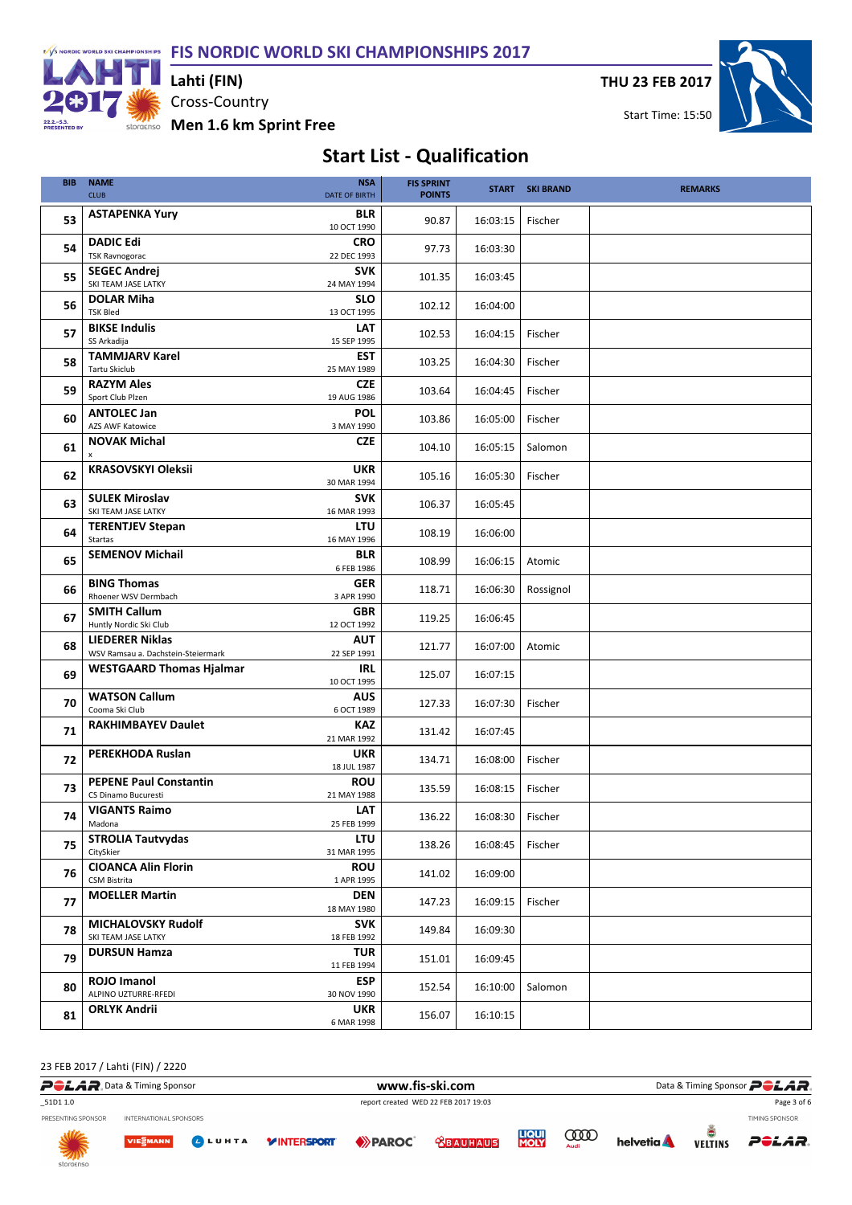F/S NORDIC WORLD SKI CHAMPIONSHIPS FIS NORDIC WORLD SKI CHAMPIONSHIPS 2017



Cross-Country storaenso Men 1.6 km Sprint Free Lahti (FIN)

THU 23 FEB 2017



### Start List - Qualification

| <b>BIB</b> | <b>NAME</b><br><b>CLUB</b>                                   | <b>NSA</b><br><b>DATE OF BIRTH</b> | <b>FIS SPRINT</b><br><b>POINTS</b> |          | <b>START SKI BRAND</b> | <b>REMARKS</b> |
|------------|--------------------------------------------------------------|------------------------------------|------------------------------------|----------|------------------------|----------------|
| 53         | <b>ASTAPENKA Yury</b>                                        | <b>BLR</b><br>10 OCT 1990          | 90.87                              | 16:03:15 | Fischer                |                |
| 54         | <b>DADIC Edi</b><br><b>TSK Ravnogorac</b>                    | <b>CRO</b><br>22 DEC 1993          | 97.73                              | 16:03:30 |                        |                |
| 55         | <b>SEGEC Andrei</b><br>SKI TEAM JASE LATKY                   | <b>SVK</b><br>24 MAY 1994          | 101.35                             | 16:03:45 |                        |                |
| 56         | <b>DOLAR Miha</b><br><b>TSK Bled</b>                         | <b>SLO</b><br>13 OCT 1995          | 102.12                             | 16:04:00 |                        |                |
| 57         | <b>BIKSE Indulis</b><br>SS Arkadija                          | LAT<br>15 SEP 1995                 | 102.53                             | 16:04:15 | Fischer                |                |
| 58         | <b>TAMMJARV Karel</b><br><b>Tartu Skiclub</b>                | <b>EST</b><br>25 MAY 1989          | 103.25                             | 16:04:30 | Fischer                |                |
| 59         | <b>RAZYM Ales</b><br>Sport Club Plzen                        | <b>CZE</b><br>19 AUG 1986          | 103.64                             | 16:04:45 | Fischer                |                |
| 60         | <b>ANTOLEC Jan</b><br><b>AZS AWF Katowice</b>                | <b>POL</b><br>3 MAY 1990           | 103.86                             | 16:05:00 | Fischer                |                |
| 61         | <b>NOVAK Michal</b><br>$\pmb{\mathsf{x}}$                    | <b>CZE</b>                         | 104.10                             | 16:05:15 | Salomon                |                |
| 62         | <b>KRASOVSKYI Oleksii</b>                                    | <b>UKR</b><br>30 MAR 1994          | 105.16                             | 16:05:30 | Fischer                |                |
| 63         | <b>SULEK Miroslav</b><br>SKI TEAM JASE LATKY                 | <b>SVK</b><br>16 MAR 1993          | 106.37                             | 16:05:45 |                        |                |
| 64         | <b>TERENTJEV Stepan</b><br>Startas                           | LTU<br>16 MAY 1996                 | 108.19                             | 16:06:00 |                        |                |
| 65         | <b>SEMENOV Michail</b>                                       | <b>BLR</b><br>6 FEB 1986           | 108.99                             | 16:06:15 | Atomic                 |                |
| 66         | <b>BING Thomas</b><br>Rhoener WSV Dermbach                   | GER<br>3 APR 1990                  | 118.71                             | 16:06:30 | Rossignol              |                |
| 67         | <b>SMITH Callum</b><br>Huntly Nordic Ski Club                | <b>GBR</b><br>12 OCT 1992          | 119.25                             | 16:06:45 |                        |                |
| 68         | <b>LIEDERER Niklas</b><br>WSV Ramsau a. Dachstein-Steiermark | <b>AUT</b><br>22 SEP 1991          | 121.77                             | 16:07:00 | Atomic                 |                |
| 69         | <b>WESTGAARD Thomas Hjalmar</b>                              | <b>IRL</b><br>10 OCT 1995          | 125.07                             | 16:07:15 |                        |                |
| 70         | <b>WATSON Callum</b><br>Cooma Ski Club                       | <b>AUS</b><br>6 OCT 1989           | 127.33                             | 16:07:30 | Fischer                |                |
| 71         | <b>RAKHIMBAYEV Daulet</b>                                    | <b>KAZ</b><br>21 MAR 1992          | 131.42                             | 16:07:45 |                        |                |
| 72         | <b>PEREKHODA Ruslan</b>                                      | <b>UKR</b><br>18 JUL 1987          | 134.71                             | 16:08:00 | Fischer                |                |
| 73         | <b>PEPENE Paul Constantin</b><br>CS Dinamo Bucuresti         | <b>ROU</b><br>21 MAY 1988          | 135.59                             | 16:08:15 | Fischer                |                |
| 74         | <b>VIGANTS Raimo</b><br>Madona                               | LAT<br>25 FEB 1999                 | 136.22                             | 16:08:30 | Fischer                |                |
| 75         | <b>STROLIA Tautvydas</b><br>CitySkier                        | <b>LTU</b><br>31 MAR 1995          | 138.26                             | 16:08:45 | Fischer                |                |
| 76         | <b>CIOANCA Alin Florin</b><br><b>CSM Bistrita</b>            | <b>ROU</b><br>1 APR 1995           | 141.02                             | 16:09:00 |                        |                |
| 77         | <b>MOELLER Martin</b>                                        | <b>DEN</b><br>18 MAY 1980          | 147.23                             | 16:09:15 | Fischer                |                |
| 78         | <b>MICHALOVSKY Rudolf</b><br>SKI TEAM JASE LATKY             | <b>SVK</b><br>18 FEB 1992          | 149.84                             | 16:09:30 |                        |                |
| 79         | <b>DURSUN Hamza</b>                                          | <b>TUR</b><br>11 FEB 1994          | 151.01                             | 16:09:45 |                        |                |
| 80         | <b>ROJO Imanol</b><br>ALPINO UZTURRE-RFEDI                   | <b>ESP</b><br>30 NOV 1990          | 152.54                             | 16:10:00 | Salomon                |                |
| 81         | <b>ORLYK Andrii</b>                                          | <b>UKR</b><br>6 MAR 1998           | 156.07                             | 16:10:15 |                        |                |

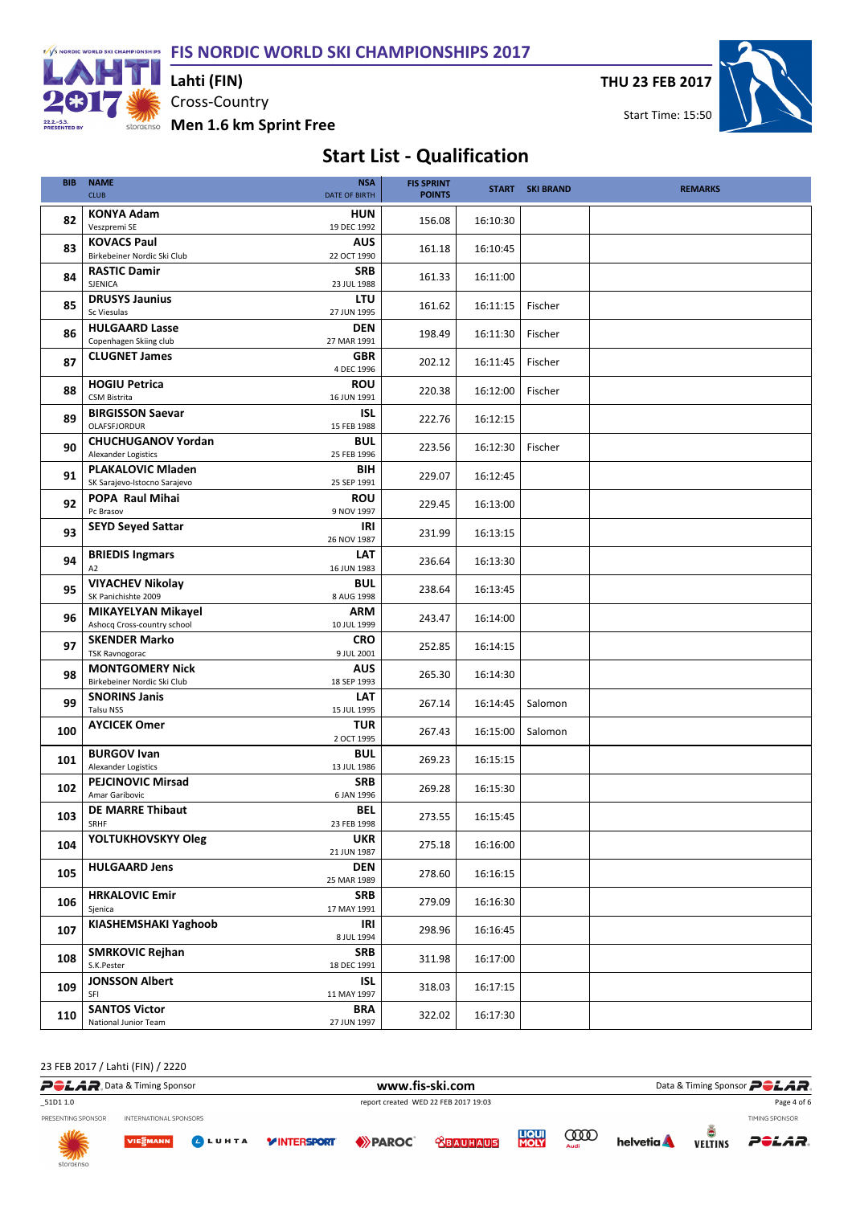F/S NORDIC WORLD SKI CHAMPIONSHIPS FIS NORDIC WORLD SKI CHAMPIONSHIPS 2017



Cross-Country Lahti (FIN)

THU 23 FEB 2017



storaenso Men 1.6 km Sprint Free

# Start List - Qualification

| <b>BIB</b> | <b>NAME</b><br><b>CLUB</b>                               | <b>NSA</b><br><b>DATE OF BIRTH</b> | <b>FIS SPRINT</b><br><b>POINTS</b> |          | <b>START SKI BRAND</b> | <b>REMARKS</b> |
|------------|----------------------------------------------------------|------------------------------------|------------------------------------|----------|------------------------|----------------|
|            |                                                          |                                    |                                    |          |                        |                |
| 82         | <b>KONYA Adam</b><br>Veszpremi SE                        | <b>HUN</b><br>19 DEC 1992          | 156.08                             | 16:10:30 |                        |                |
|            |                                                          |                                    |                                    |          |                        |                |
| 83         | <b>KOVACS Paul</b><br>Birkebeiner Nordic Ski Club        | <b>AUS</b><br>22 OCT 1990          | 161.18                             | 16:10:45 |                        |                |
|            |                                                          | <b>SRB</b>                         |                                    |          |                        |                |
| 84         | <b>RASTIC Damir</b><br>SJENICA                           | 23 JUL 1988                        | 161.33                             | 16:11:00 |                        |                |
|            | <b>DRUSYS Jaunius</b>                                    |                                    |                                    |          |                        |                |
| 85         | Sc Viesulas                                              | <b>LTU</b><br>27 JUN 1995          | 161.62                             | 16:11:15 | Fischer                |                |
|            | <b>HULGAARD Lasse</b>                                    | <b>DEN</b>                         |                                    |          |                        |                |
| 86         | Copenhagen Skiing club                                   | 27 MAR 1991                        | 198.49                             | 16:11:30 | Fischer                |                |
|            | <b>CLUGNET James</b>                                     | <b>GBR</b>                         |                                    |          |                        |                |
| 87         |                                                          | 4 DEC 1996                         | 202.12                             | 16:11:45 | Fischer                |                |
|            | <b>HOGIU Petrica</b>                                     | <b>ROU</b>                         |                                    |          |                        |                |
| 88         | <b>CSM Bistrita</b>                                      | 16 JUN 1991                        | 220.38                             | 16:12:00 | Fischer                |                |
|            | <b>BIRGISSON Saevar</b>                                  | ISL                                |                                    |          |                        |                |
| 89         | OLAFSFJORDUR                                             | 15 FEB 1988                        | 222.76                             | 16:12:15 |                        |                |
|            | <b>CHUCHUGANOV Yordan</b>                                | <b>BUL</b>                         |                                    |          |                        |                |
| 90         | Alexander Logistics                                      | 25 FEB 1996                        | 223.56                             | 16:12:30 | Fischer                |                |
| 91         | <b>PLAKALOVIC Mladen</b>                                 | BIH                                | 229.07                             | 16:12:45 |                        |                |
|            | SK Sarajevo-Istocno Sarajevo                             | 25 SEP 1991                        |                                    |          |                        |                |
| 92         | POPA Raul Mihai                                          | <b>ROU</b>                         | 229.45                             | 16:13:00 |                        |                |
|            | Pc Brasov                                                | 9 NOV 1997                         |                                    |          |                        |                |
| 93         | <b>SEYD Seyed Sattar</b>                                 | IRI                                | 231.99                             | 16:13:15 |                        |                |
|            |                                                          | 26 NOV 1987                        |                                    |          |                        |                |
| 94         | <b>BRIEDIS Ingmars</b>                                   | LAT                                | 236.64                             | 16:13:30 |                        |                |
|            | A <sub>2</sub>                                           | 16 JUN 1983                        |                                    |          |                        |                |
| 95         | <b>VIYACHEV Nikolay</b>                                  | <b>BUL</b>                         | 238.64                             | 16:13:45 |                        |                |
|            | SK Panichishte 2009                                      | 8 AUG 1998                         |                                    |          |                        |                |
| 96         | <b>MIKAYELYAN Mikayel</b><br>Ashocq Cross-country school | ARM<br>10 JUL 1999                 | 243.47                             | 16:14:00 |                        |                |
|            | <b>SKENDER Marko</b>                                     | <b>CRO</b>                         |                                    |          |                        |                |
| 97         | <b>TSK Ravnogorac</b>                                    | 9 JUL 2001                         | 252.85                             | 16:14:15 |                        |                |
|            | <b>MONTGOMERY Nick</b>                                   | <b>AUS</b>                         |                                    |          |                        |                |
| 98         | Birkebeiner Nordic Ski Club                              | 18 SEP 1993                        | 265.30                             | 16:14:30 |                        |                |
|            | <b>SNORINS Janis</b>                                     | <b>LAT</b>                         |                                    |          |                        |                |
| 99         | Talsu NSS                                                | 15 JUL 1995                        | 267.14                             | 16:14:45 | Salomon                |                |
|            | <b>AYCICEK Omer</b>                                      | <b>TUR</b>                         |                                    |          |                        |                |
| 100        |                                                          | 2 OCT 1995                         | 267.43                             | 16:15:00 | Salomon                |                |
| 101        | <b>BURGOV Ivan</b>                                       | <b>BUL</b>                         | 269.23                             | 16:15:15 |                        |                |
|            | Alexander Logistics                                      | 13 JUL 1986                        |                                    |          |                        |                |
| 102        | <b>PEJCINOVIC Mirsad</b>                                 | <b>SRB</b>                         | 269.28                             | 16:15:30 |                        |                |
|            | Amar Garibovic                                           | 6 JAN 1996                         |                                    |          |                        |                |
| 103        | <b>DE MARRE Thibaut</b>                                  | BEL                                | 273.55                             | 16:15:45 |                        |                |
|            | SRHF                                                     | 23 FEB 1998                        |                                    |          |                        |                |
| 104        | YOLTUKHOVSKYY Oleg                                       | <b>UKR</b>                         | 275.18                             | 16:16:00 |                        |                |
|            |                                                          | 21 JUN 1987                        |                                    |          |                        |                |
| 105        | <b>HULGAARD Jens</b>                                     | <b>DEN</b>                         | 278.60                             | 16:16:15 |                        |                |
|            |                                                          | 25 MAR 1989                        |                                    |          |                        |                |
| 106        | <b>HRKALOVIC Emir</b><br>Sjenica                         | <b>SRB</b>                         | 279.09                             | 16:16:30 |                        |                |
|            | <b>KIASHEMSHAKI Yaghoob</b>                              | 17 MAY 1991                        |                                    |          |                        |                |
| 107        |                                                          | IRI<br>8 JUL 1994                  | 298.96                             | 16:16:45 |                        |                |
|            | <b>SMRKOVIC Rejhan</b>                                   | <b>SRB</b>                         |                                    |          |                        |                |
| 108        | S.K.Pester                                               | 18 DEC 1991                        | 311.98                             | 16:17:00 |                        |                |
|            | <b>JONSSON Albert</b>                                    | ISL                                |                                    |          |                        |                |
| 109        | SFI                                                      | 11 MAY 1997                        | 318.03                             | 16:17:15 |                        |                |
|            | <b>SANTOS Victor</b>                                     | <b>BRA</b>                         |                                    |          |                        |                |
| 110        | National Junior Team                                     | 27 JUN 1997                        | 322.02                             | 16:17:30 |                        |                |

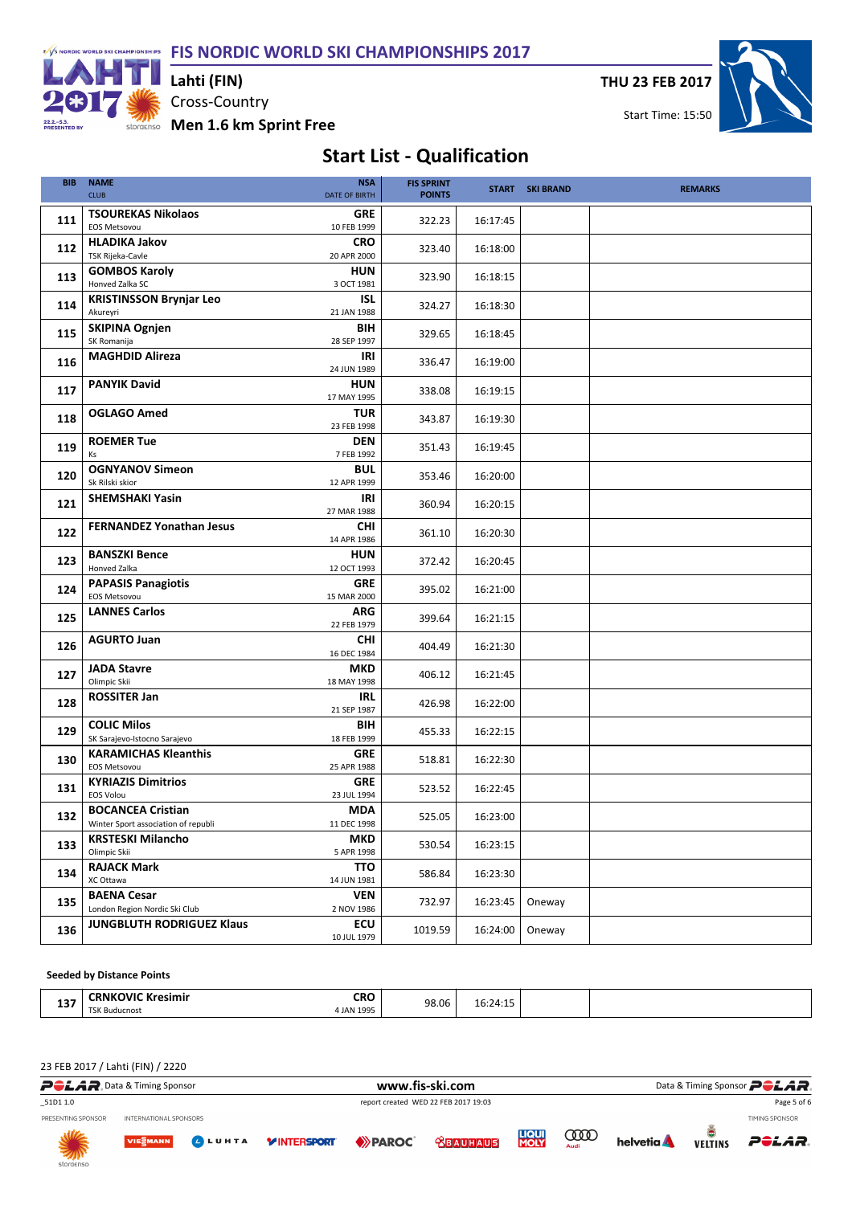FIS NORDIC WORLD SKI CHAMPIONSHIPS 2017



Cross-Country Men 1.6 km Sprint Free Lahti (FIN)

THU 23 FEB 2017

Start Time: 15:50



## Start List - Qualification

| <b>BIB</b> | <b>NAME</b><br><b>CLUB</b>                                               | <b>NSA</b><br>DATE OF BIRTH             | <b>FIS SPRINT</b><br><b>POINTS</b> |          | <b>START SKI BRAND</b> | <b>REMARKS</b> |
|------------|--------------------------------------------------------------------------|-----------------------------------------|------------------------------------|----------|------------------------|----------------|
| 111        | <b>TSOUREKAS Nikolaos</b><br><b>EOS Metsovou</b>                         | <b>GRE</b><br>10 FEB 1999               | 322.23                             | 16:17:45 |                        |                |
| 112        | <b>HLADIKA Jakov</b><br><b>TSK Rijeka-Cavle</b>                          | <b>CRO</b><br>20 APR 2000               | 323.40                             | 16:18:00 |                        |                |
| 113        | <b>GOMBOS Karoly</b><br>Honved Zalka SC                                  | <b>HUN</b><br>3 OCT 1981                | 323.90                             | 16:18:15 |                        |                |
| 114        | <b>KRISTINSSON Brynjar Leo</b><br>Akureyri                               | <b>ISL</b><br>21 JAN 1988               | 324.27                             | 16:18:30 |                        |                |
| 115        | <b>SKIPINA Ognjen</b><br>SK Romanija                                     | BIH<br>28 SEP 1997                      | 329.65                             | 16:18:45 |                        |                |
| 116        | <b>MAGHDID Alireza</b>                                                   | IRI<br>24 JUN 1989                      | 336.47                             | 16:19:00 |                        |                |
| 117        | <b>PANYIK David</b>                                                      | <b>HUN</b><br>17 MAY 1995               | 338.08                             | 16:19:15 |                        |                |
| 118        | <b>OGLAGO Amed</b>                                                       | <b>TUR</b><br>23 FEB 1998               | 343.87                             | 16:19:30 |                        |                |
| 119        | <b>ROEMER Tue</b><br>Ks                                                  | <b>DEN</b><br>7 FEB 1992                | 351.43                             | 16:19:45 |                        |                |
| 120        | <b>OGNYANOV Simeon</b><br>Sk Rilski skior                                | <b>BUL</b><br>12 APR 1999               | 353.46                             | 16:20:00 |                        |                |
| 121        | <b>SHEMSHAKI Yasin</b>                                                   | IRI<br>27 MAR 1988                      | 360.94                             | 16:20:15 |                        |                |
| 122        | <b>FERNANDEZ Yonathan Jesus</b>                                          | <b>CHI</b><br>14 APR 1986               | 361.10                             | 16:20:30 |                        |                |
| 123        | <b>BANSZKI Bence</b><br>Honved Zalka                                     | <b>HUN</b><br>12 OCT 1993               | 372.42                             | 16:20:45 |                        |                |
| 124        | <b>PAPASIS Panagiotis</b><br><b>EOS Metsovou</b><br><b>LANNES Carlos</b> | <b>GRE</b><br>15 MAR 2000<br><b>ARG</b> | 395.02                             | 16:21:00 |                        |                |
| 125        | <b>AGURTO Juan</b>                                                       | 22 FEB 1979<br><b>CHI</b>               | 399.64                             | 16:21:15 |                        |                |
| 126        | <b>JADA Stavre</b>                                                       | 16 DEC 1984<br><b>MKD</b>               | 404.49                             | 16:21:30 |                        |                |
| 127        | Olimpic Skii<br><b>ROSSITER Jan</b>                                      | 18 MAY 1998<br><b>IRL</b>               | 406.12                             | 16:21:45 |                        |                |
| 128        | <b>COLIC Milos</b>                                                       | 21 SEP 1987<br>BIH                      | 426.98                             | 16:22:00 |                        |                |
| 129        | SK Sarajevo-Istocno Sarajevo<br><b>KARAMICHAS Kleanthis</b>              | 18 FEB 1999<br>GRE                      | 455.33                             | 16:22:15 |                        |                |
| 130        | <b>EOS Metsovou</b><br><b>KYRIAZIS Dimitrios</b>                         | 25 APR 1988<br><b>GRE</b>               | 518.81                             | 16:22:30 |                        |                |
| 131        | <b>EOS Volou</b><br><b>BOCANCEA Cristian</b>                             | 23 JUL 1994<br><b>MDA</b>               | 523.52                             | 16:22:45 |                        |                |
| 132        | Winter Sport association of republi<br><b>KRSTESKI Milancho</b>          | 11 DEC 1998<br><b>MKD</b>               | 525.05                             | 16:23:00 |                        |                |
| 133        | Olimpic Skii<br><b>RAJACK Mark</b>                                       | 5 APR 1998<br><b>TTO</b>                | 530.54                             | 16:23:15 |                        |                |
| 134        | XC Ottawa<br><b>BAENA Cesar</b>                                          | 14 JUN 1981<br><b>VEN</b>               | 586.84                             | 16:23:30 |                        |                |
| 135        | London Region Nordic Ski Club<br><b>JUNGBLUTH RODRIGUEZ Klaus</b>        | 2 NOV 1986<br>ECU                       | 732.97                             | 16:23:45 | Oneway                 |                |
| 136        |                                                                          | 10 JUL 1979                             | 1019.59                            | 16:24:00 | Oneway                 |                |

#### Seeded by Distance Points

| -4.000<br>. .<br>___ | ` Kresimir<br>אועכ<br>:RNKC<br>. | <b>CDC</b><br>ւռւ<br>. | 98.06<br>. | $\overline{\phantom{a}}$<br>Lb:2<br>-⊤.⊥ |  |
|----------------------|----------------------------------|------------------------|------------|------------------------------------------|--|
|                      | <b>TCK</b><br><b>Buducnost</b>   | 100E<br>: JAN          |            |                                          |  |